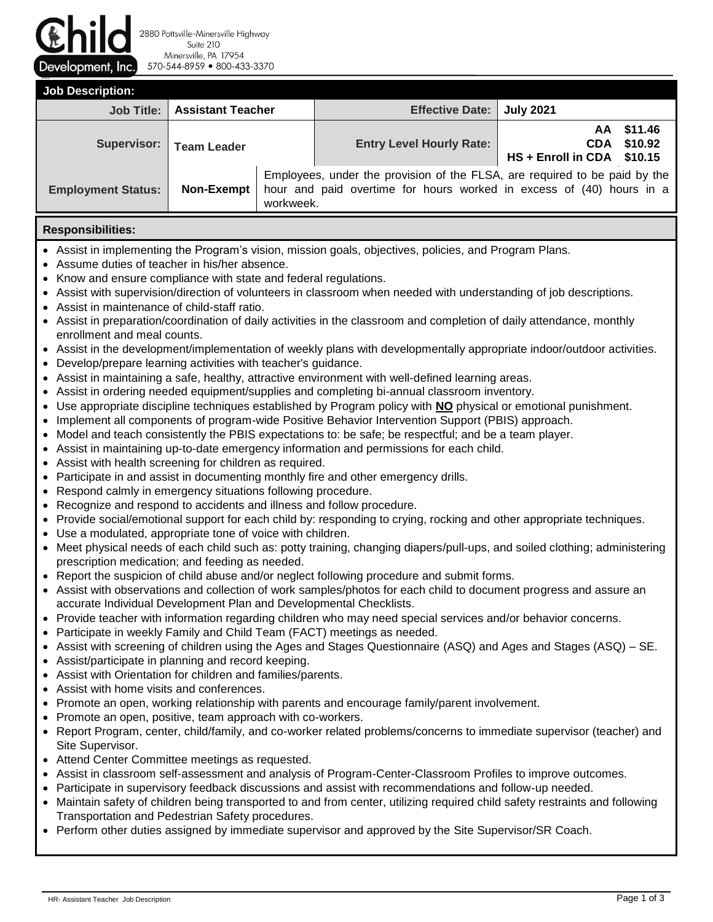Development, Inc.

2880 Pottsville-Minersville Highway Suite 210 Minersville, PA 17954 570-544-8959 800-433-3370

915 **Job Description: Job Title: Assistant Teacher Effective Date: July 2021** Supervisor: | Team Leader **New York Level Hourly Rate: AA CDA HS + Enroll in CDA \$10.15 \$11.46 \$10.92 Employment Status: Non-Exempt** Employees, under the provision of the FLSA, are required to be paid by the hour and paid overtime for hours worked in excess of (40) hours in a workweek.

## **Responsibilities:**

- Assist in implementing the Program's vision, mission goals, objectives, policies, and Program Plans.
- Assume duties of teacher in his/her absence.
- Know and ensure compliance with state and federal regulations.
- Assist with supervision/direction of volunteers in classroom when needed with understanding of job descriptions.
- Assist in maintenance of child-staff ratio.
- Assist in preparation/coordination of daily activities in the classroom and completion of daily attendance, monthly enrollment and meal counts.
- Assist in the development/implementation of weekly plans with developmentally appropriate indoor/outdoor activities.
- Develop/prepare learning activities with teacher's guidance.
- Assist in maintaining a safe, healthy, attractive environment with well-defined learning areas.
- Assist in ordering needed equipment/supplies and completing bi-annual classroom inventory.
- Use appropriate discipline techniques established by Program policy with **NO** physical or emotional punishment.
- Implement all components of program-wide Positive Behavior Intervention Support (PBIS) approach.
- Model and teach consistently the PBIS expectations to: be safe; be respectful; and be a team player.
- Assist in maintaining up-to-date emergency information and permissions for each child.
- Assist with health screening for children as required.
- Participate in and assist in documenting monthly fire and other emergency drills.
- Respond calmly in emergency situations following procedure.
- Recognize and respond to accidents and illness and follow procedure.
- Provide social/emotional support for each child by: responding to crying, rocking and other appropriate techniques.
- Use a modulated, appropriate tone of voice with children.
- Meet physical needs of each child such as: potty training, changing diapers/pull-ups, and soiled clothing; administering prescription medication; and feeding as needed.
- Report the suspicion of child abuse and/or neglect following procedure and submit forms.
- Assist with observations and collection of work samples/photos for each child to document progress and assure an accurate Individual Development Plan and Developmental Checklists.
- Provide teacher with information regarding children who may need special services and/or behavior concerns.
- Participate in weekly Family and Child Team (FACT) meetings as needed.
- Assist with screening of children using the Ages and Stages Questionnaire (ASQ) and Ages and Stages (ASQ) SE.
- Assist/participate in planning and record keeping.
- Assist with Orientation for children and families/parents.
- Assist with home visits and conferences.
- Promote an open, working relationship with parents and encourage family/parent involvement.
- Promote an open, positive, team approach with co-workers.
- Report Program, center, child/family, and co-worker related problems/concerns to immediate supervisor (teacher) and Site Supervisor.
- Attend Center Committee meetings as requested.
- Assist in classroom self-assessment and analysis of Program-Center-Classroom Profiles to improve outcomes.
- Participate in supervisory feedback discussions and assist with recommendations and follow-up needed.
- Maintain safety of children being transported to and from center, utilizing required child safety restraints and following Transportation and Pedestrian Safety procedures.
- Perform other duties assigned by immediate supervisor and approved by the Site Supervisor/SR Coach.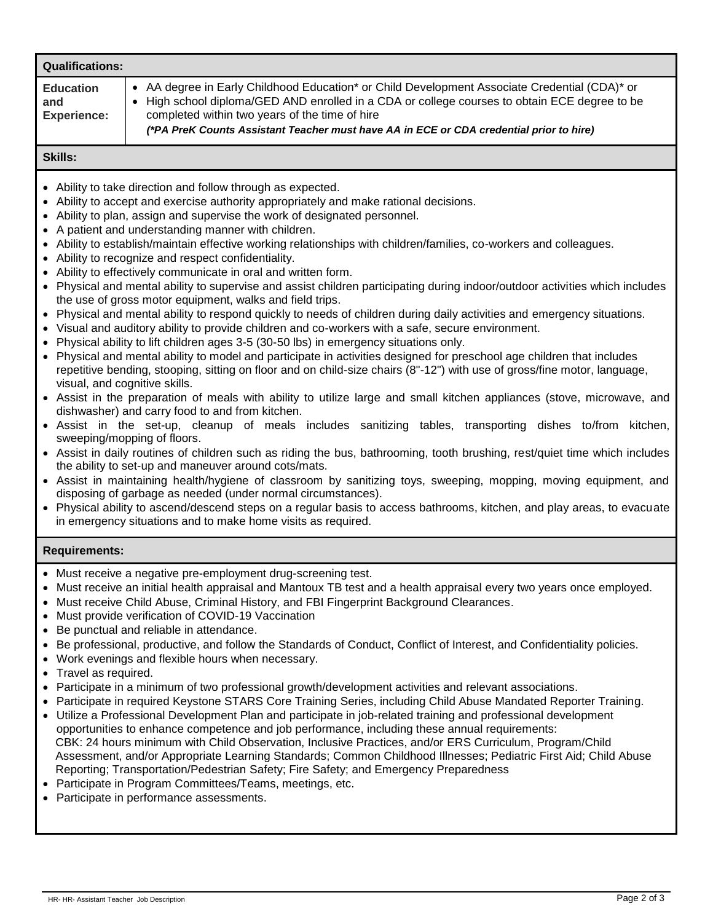| <b>Qualifications:</b>                                                                                                                                                                                                                                                                                                                                                                                                                                                                                                                                                                                                                                                                                                                                                                                                                                                                                                                                                                                                                                                                                                                                                                                                                                                                                                                                                                                                                                                                                                                                                                                                                                                                                                                                                                                                                                                                                                                                                                                                                                                                                                                                                                                                                     |                                                                                                                                                                                                                                                                                                                                                                                                                                                                                                                                                                                                                                                                                                                                                                                                                                                                                                                                                                                                                                                                                                                 |  |  |  |  |  |  |
|--------------------------------------------------------------------------------------------------------------------------------------------------------------------------------------------------------------------------------------------------------------------------------------------------------------------------------------------------------------------------------------------------------------------------------------------------------------------------------------------------------------------------------------------------------------------------------------------------------------------------------------------------------------------------------------------------------------------------------------------------------------------------------------------------------------------------------------------------------------------------------------------------------------------------------------------------------------------------------------------------------------------------------------------------------------------------------------------------------------------------------------------------------------------------------------------------------------------------------------------------------------------------------------------------------------------------------------------------------------------------------------------------------------------------------------------------------------------------------------------------------------------------------------------------------------------------------------------------------------------------------------------------------------------------------------------------------------------------------------------------------------------------------------------------------------------------------------------------------------------------------------------------------------------------------------------------------------------------------------------------------------------------------------------------------------------------------------------------------------------------------------------------------------------------------------------------------------------------------------------|-----------------------------------------------------------------------------------------------------------------------------------------------------------------------------------------------------------------------------------------------------------------------------------------------------------------------------------------------------------------------------------------------------------------------------------------------------------------------------------------------------------------------------------------------------------------------------------------------------------------------------------------------------------------------------------------------------------------------------------------------------------------------------------------------------------------------------------------------------------------------------------------------------------------------------------------------------------------------------------------------------------------------------------------------------------------------------------------------------------------|--|--|--|--|--|--|
| <b>Education</b><br>and<br><b>Experience:</b>                                                                                                                                                                                                                                                                                                                                                                                                                                                                                                                                                                                                                                                                                                                                                                                                                                                                                                                                                                                                                                                                                                                                                                                                                                                                                                                                                                                                                                                                                                                                                                                                                                                                                                                                                                                                                                                                                                                                                                                                                                                                                                                                                                                              | AA degree in Early Childhood Education* or Child Development Associate Credential (CDA)* or<br>• High school diploma/GED AND enrolled in a CDA or college courses to obtain ECE degree to be<br>completed within two years of the time of hire<br>(*PA PreK Counts Assistant Teacher must have AA in ECE or CDA credential prior to hire)                                                                                                                                                                                                                                                                                                                                                                                                                                                                                                                                                                                                                                                                                                                                                                       |  |  |  |  |  |  |
| <b>Skills:</b>                                                                                                                                                                                                                                                                                                                                                                                                                                                                                                                                                                                                                                                                                                                                                                                                                                                                                                                                                                                                                                                                                                                                                                                                                                                                                                                                                                                                                                                                                                                                                                                                                                                                                                                                                                                                                                                                                                                                                                                                                                                                                                                                                                                                                             |                                                                                                                                                                                                                                                                                                                                                                                                                                                                                                                                                                                                                                                                                                                                                                                                                                                                                                                                                                                                                                                                                                                 |  |  |  |  |  |  |
| • Ability to take direction and follow through as expected.<br>Ability to accept and exercise authority appropriately and make rational decisions.<br>Ability to plan, assign and supervise the work of designated personnel.<br>• A patient and understanding manner with children.<br>• Ability to establish/maintain effective working relationships with children/families, co-workers and colleagues.<br>• Ability to recognize and respect confidentiality.<br>• Ability to effectively communicate in oral and written form.<br>• Physical and mental ability to supervise and assist children participating during indoor/outdoor activities which includes<br>the use of gross motor equipment, walks and field trips.<br>Physical and mental ability to respond quickly to needs of children during daily activities and emergency situations.<br>• Visual and auditory ability to provide children and co-workers with a safe, secure environment.<br>Physical ability to lift children ages 3-5 (30-50 lbs) in emergency situations only.<br>• Physical and mental ability to model and participate in activities designed for preschool age children that includes<br>repetitive bending, stooping, sitting on floor and on child-size chairs (8"-12") with use of gross/fine motor, language,<br>visual, and cognitive skills.<br>• Assist in the preparation of meals with ability to utilize large and small kitchen appliances (stove, microwave, and<br>dishwasher) and carry food to and from kitchen.<br>• Assist in the set-up, cleanup of meals includes sanitizing tables, transporting dishes to/from kitchen,<br>sweeping/mopping of floors.<br>• Assist in daily routines of children such as riding the bus, bathrooming, tooth brushing, rest/quiet time which includes<br>the ability to set-up and maneuver around cots/mats.<br>• Assist in maintaining health/hygiene of classroom by sanitizing toys, sweeping, mopping, moving equipment, and<br>disposing of garbage as needed (under normal circumstances).<br>• Physical ability to ascend/descend steps on a regular basis to access bathrooms, kitchen, and play areas, to evacuate<br>in emergency situations and to make home visits as required. |                                                                                                                                                                                                                                                                                                                                                                                                                                                                                                                                                                                                                                                                                                                                                                                                                                                                                                                                                                                                                                                                                                                 |  |  |  |  |  |  |
| <b>Requirements:</b>                                                                                                                                                                                                                                                                                                                                                                                                                                                                                                                                                                                                                                                                                                                                                                                                                                                                                                                                                                                                                                                                                                                                                                                                                                                                                                                                                                                                                                                                                                                                                                                                                                                                                                                                                                                                                                                                                                                                                                                                                                                                                                                                                                                                                       |                                                                                                                                                                                                                                                                                                                                                                                                                                                                                                                                                                                                                                                                                                                                                                                                                                                                                                                                                                                                                                                                                                                 |  |  |  |  |  |  |
| ٠<br>٠<br>$\bullet$<br>$\bullet$<br>Travel as required.                                                                                                                                                                                                                                                                                                                                                                                                                                                                                                                                                                                                                                                                                                                                                                                                                                                                                                                                                                                                                                                                                                                                                                                                                                                                                                                                                                                                                                                                                                                                                                                                                                                                                                                                                                                                                                                                                                                                                                                                                                                                                                                                                                                    | Must receive a negative pre-employment drug-screening test.<br>Must receive an initial health appraisal and Mantoux TB test and a health appraisal every two years once employed.<br>Must receive Child Abuse, Criminal History, and FBI Fingerprint Background Clearances.<br>Must provide verification of COVID-19 Vaccination<br>Be punctual and reliable in attendance.<br>Be professional, productive, and follow the Standards of Conduct, Conflict of Interest, and Confidentiality policies.<br>Work evenings and flexible hours when necessary.<br>Participate in a minimum of two professional growth/development activities and relevant associations.<br>Participate in required Keystone STARS Core Training Series, including Child Abuse Mandated Reporter Training.<br>Utilize a Professional Development Plan and participate in job-related training and professional development<br>opportunities to enhance competence and job performance, including these annual requirements:<br>CBK: 24 hours minimum with Child Observation, Inclusive Practices, and/or ERS Curriculum, Program/Child |  |  |  |  |  |  |

Assessment, and/or Appropriate Learning Standards; Common Childhood Illnesses; Pediatric First Aid; Child Abuse Reporting; Transportation/Pedestrian Safety; Fire Safety; and Emergency Preparedness

- Participate in Program Committees/Teams, meetings, etc.
- Participate in performance assessments.